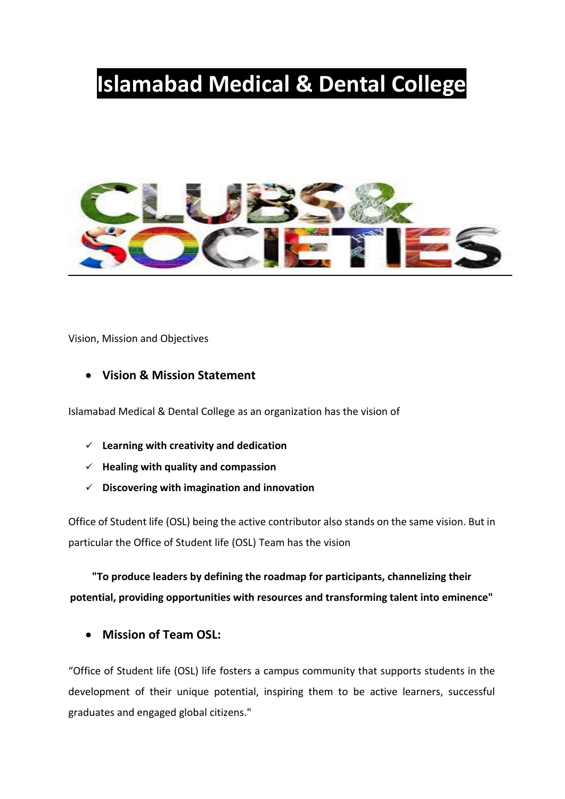# **Islamabad Medical & Dental College**



Vision, Mission and Objectives

### • **Vision & Mission Statement**

Islamabad Medical & Dental College as an organization has the vision of

- ✓ **Learning with creativity and dedication**
- ✓ **Healing with quality and compassion**
- ✓ **Discovering with imagination and innovation**

Office of Student life (OSL) being the active contributor also stands on the same vision. But in particular the Office of Student life (OSL) Team has the vision

**"To produce leaders by defining the roadmap for participants, channelizing their potential, providing opportunities with resources and transforming talent into eminence"**

• **Mission of Team OSL:**

"Office of Student life (OSL) life fosters a campus community that supports students in the development of their unique potential, inspiring them to be active learners, successful graduates and engaged global citizens."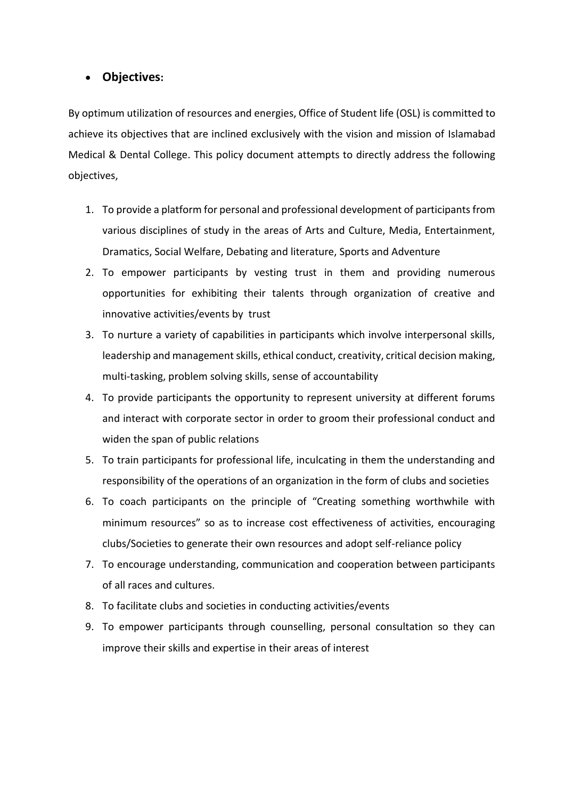### • **Objectives:**

By optimum utilization of resources and energies, Office of Student life (OSL) is committed to achieve its objectives that are inclined exclusively with the vision and mission of Islamabad Medical & Dental College. This policy document attempts to directly address the following objectives,

- 1. To provide a platform for personal and professional development of participants from various disciplines of study in the areas of Arts and Culture, Media, Entertainment, Dramatics, Social Welfare, Debating and literature, Sports and Adventure
- 2. To empower participants by vesting trust in them and providing numerous opportunities for exhibiting their talents through organization of creative and innovative activities/events by trust
- 3. To nurture a variety of capabilities in participants which involve interpersonal skills, leadership and management skills, ethical conduct, creativity, critical decision making, multi-tasking, problem solving skills, sense of accountability
- 4. To provide participants the opportunity to represent university at different forums and interact with corporate sector in order to groom their professional conduct and widen the span of public relations
- 5. To train participants for professional life, inculcating in them the understanding and responsibility of the operations of an organization in the form of clubs and societies
- 6. To coach participants on the principle of "Creating something worthwhile with minimum resources" so as to increase cost effectiveness of activities, encouraging clubs/Societies to generate their own resources and adopt self-reliance policy
- 7. To encourage understanding, communication and cooperation between participants of all races and cultures.
- 8. To facilitate clubs and societies in conducting activities/events
- 9. To empower participants through counselling, personal consultation so they can improve their skills and expertise in their areas of interest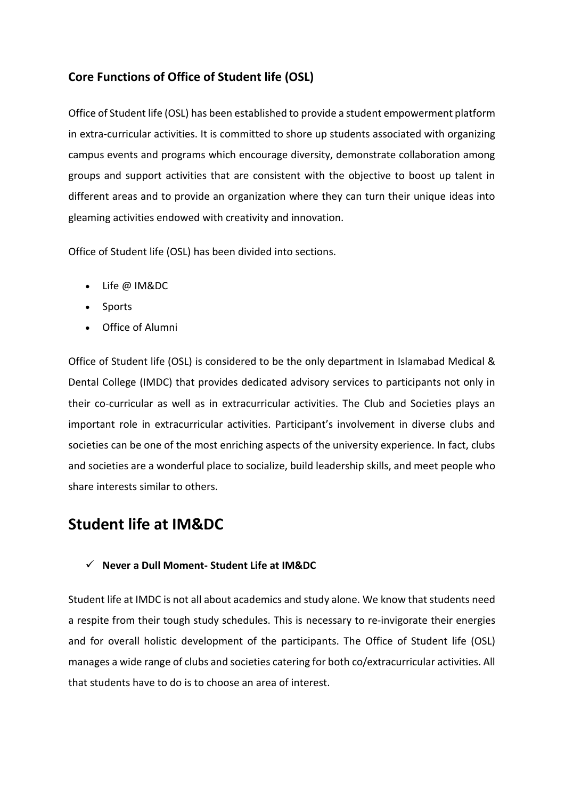### **Core Functions of Office of Student life (OSL)**

Office of Student life (OSL) has been established to provide a student empowerment platform in extra-curricular activities. It is committed to shore up students associated with organizing campus events and programs which encourage diversity, demonstrate collaboration among groups and support activities that are consistent with the objective to boost up talent in different areas and to provide an organization where they can turn their unique ideas into gleaming activities endowed with creativity and innovation.

Office of Student life (OSL) has been divided into sections.

- Life @ IM&DC
- Sports
- Office of Alumni

Office of Student life (OSL) is considered to be the only department in Islamabad Medical & Dental College (IMDC) that provides dedicated advisory services to participants not only in their co-curricular as well as in extracurricular activities. The Club and Societies plays an important role in extracurricular activities. Participant's involvement in diverse clubs and societies can be one of the most enriching aspects of the university experience. In fact, clubs and societies are a wonderful place to socialize, build leadership skills, and meet people who share interests similar to others.

### **Student life at IM&DC**

#### ✓ **Never a Dull Moment- Student Life at IM&DC**

Student life at IMDC is not all about academics and study alone. We know that students need a respite from their tough study schedules. This is necessary to re-invigorate their energies and for overall holistic development of the participants. The Office of Student life (OSL) manages a wide range of clubs and societies catering for both co/extracurricular activities. All that students have to do is to choose an area of interest.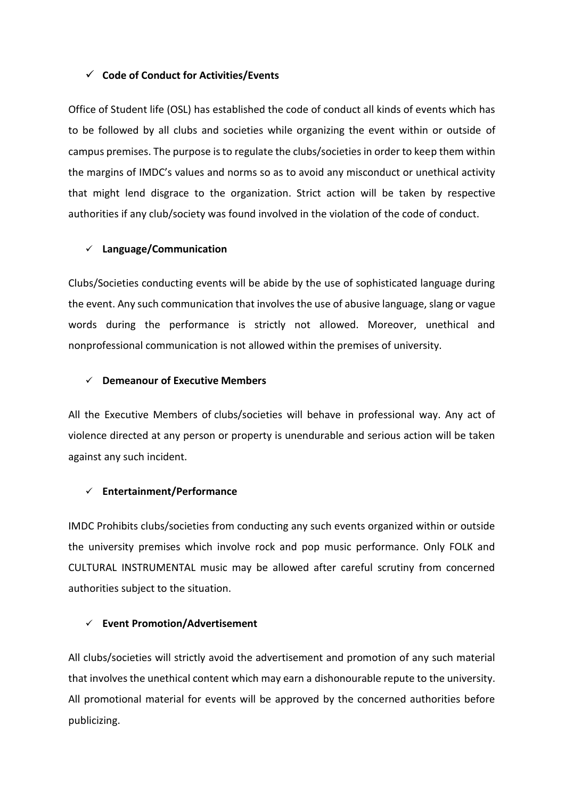#### ✓ **Code of Conduct for Activities/Events**

Office of Student life (OSL) has established the code of conduct all kinds of events which has to be followed by all clubs and societies while organizing the event within or outside of campus premises. The purpose is to regulate the clubs/societies in order to keep them within the margins of IMDC's values and norms so as to avoid any misconduct or unethical activity that might lend disgrace to the organization. Strict action will be taken by respective authorities if any club/society was found involved in the violation of the code of conduct.

#### ✓ **Language/Communication**

Clubs/Societies conducting events will be abide by the use of sophisticated language during the event. Any such communication that involves the use of abusive language, slang or vague words during the performance is strictly not allowed. Moreover, unethical and nonprofessional communication is not allowed within the premises of university.

#### ✓ **Demeanour of Executive Members**

All the Executive Members of clubs/societies will behave in professional way. Any act of violence directed at any person or property is unendurable and serious action will be taken against any such incident.

#### ✓ **Entertainment/Performance**

IMDC Prohibits clubs/societies from conducting any such events organized within or outside the university premises which involve rock and pop music performance. Only FOLK and CULTURAL INSTRUMENTAL music may be allowed after careful scrutiny from concerned authorities subject to the situation.

#### ✓ **Event Promotion/Advertisement**

All clubs/societies will strictly avoid the advertisement and promotion of any such material that involves the unethical content which may earn a dishonourable repute to the university. All promotional material for events will be approved by the concerned authorities before publicizing.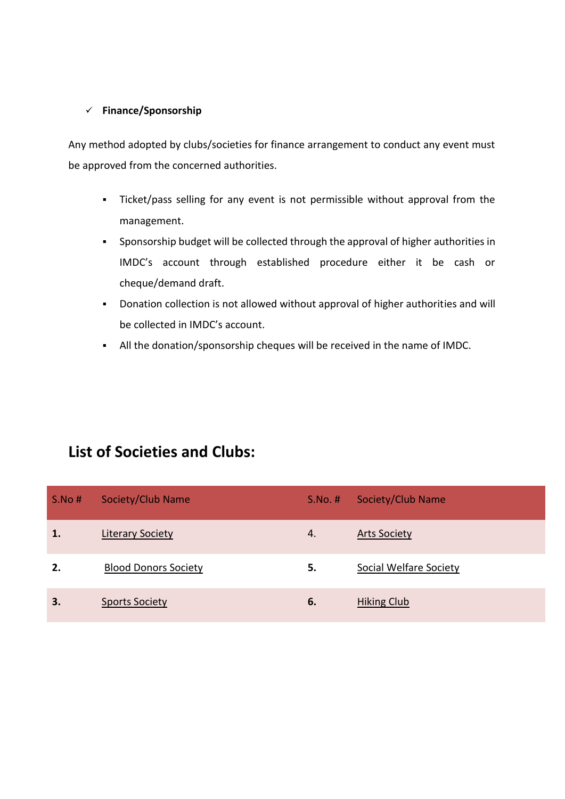#### ✓ **Finance/Sponsorship**

Any method adopted by clubs/societies for finance arrangement to conduct any event must be approved from the concerned authorities.

- Ticket/pass selling for any event is not permissible without approval from the management.
- Sponsorship budget will be collected through the approval of higher authorities in IMDC's account through established procedure either it be cash or cheque/demand draft.
- Donation collection is not allowed without approval of higher authorities and will be collected in IMDC's account.
- All the donation/sponsorship cheques will be received in the name of IMDC.

### **List of Societies and Clubs:**

| S.No# | Society/Club Name           | $S.No.$ # | Society/Club Name             |
|-------|-----------------------------|-----------|-------------------------------|
| 1.    | <b>Literary Society</b>     | 4.        | <b>Arts Society</b>           |
| 2.    | <b>Blood Donors Society</b> | 5.        | <b>Social Welfare Society</b> |
| 3.    | <b>Sports Society</b>       | 6.        | Hiking Club                   |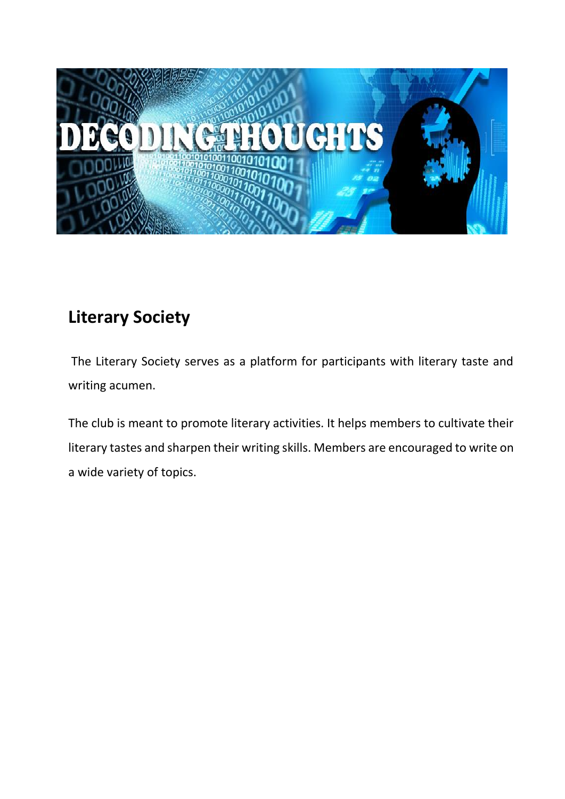

# **Literary Society**

The Literary Society serves as a platform for participants with literary taste and writing acumen.

The club is meant to promote literary activities. It helps members to cultivate their literary tastes and sharpen their writing skills. Members are encouraged to write on a wide variety of topics.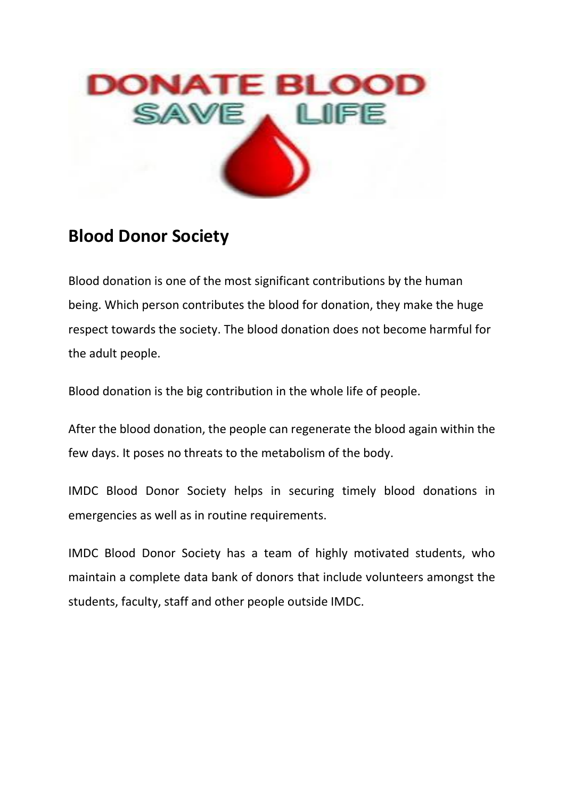

## **Blood Donor Society**

Blood donation is one of the most significant contributions by the human being. Which person contributes the blood for donation, they make the huge respect towards the society. The blood donation does not become harmful for the adult people.

Blood donation is the big contribution in the whole life of people.

After the blood donation, the people can regenerate the blood again within the few days. It poses no threats to the metabolism of the body.

IMDC Blood Donor Society helps in securing timely blood donations in emergencies as well as in routine requirements.

IMDC Blood Donor Society has a team of highly motivated students, who maintain a complete data bank of donors that include volunteers amongst the students, faculty, staff and other people outside IMDC.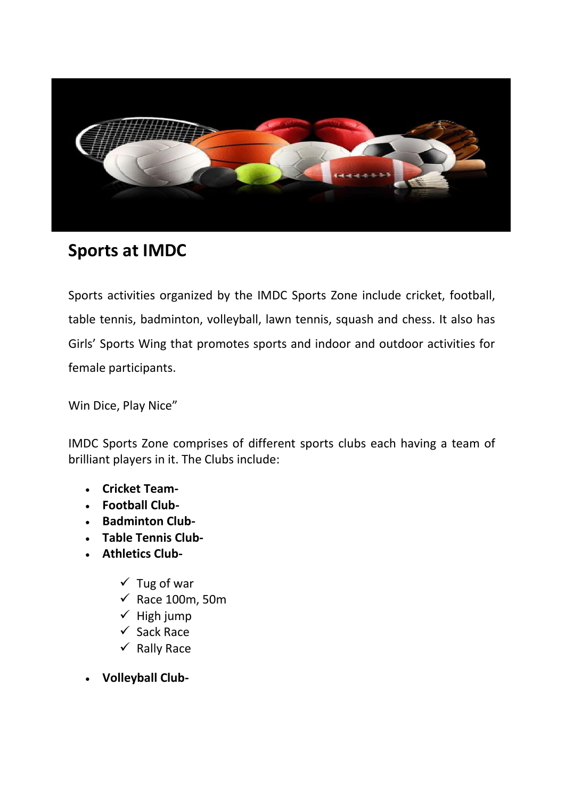

# **Sports at IMDC**

Sports activities organized by the IMDC Sports Zone include cricket, football, table tennis, badminton, volleyball, lawn tennis, squash and chess. It also has Girls' Sports Wing that promotes sports and indoor and outdoor activities for female participants.

Win Dice, Play Nice"

IMDC Sports Zone comprises of different sports clubs each having a team of brilliant players in it. The Clubs include:

- **Cricket Team-**
- **Football Club-**
- **Badminton Club-**
- **Table Tennis Club-**
- **Athletics Club-**
	- $\checkmark$  Tug of war
	- $\checkmark$  Race 100m, 50m
	- $\checkmark$  High jump
	- ✓ Sack Race
	- $\checkmark$  Rally Race
- **Volleyball Club-**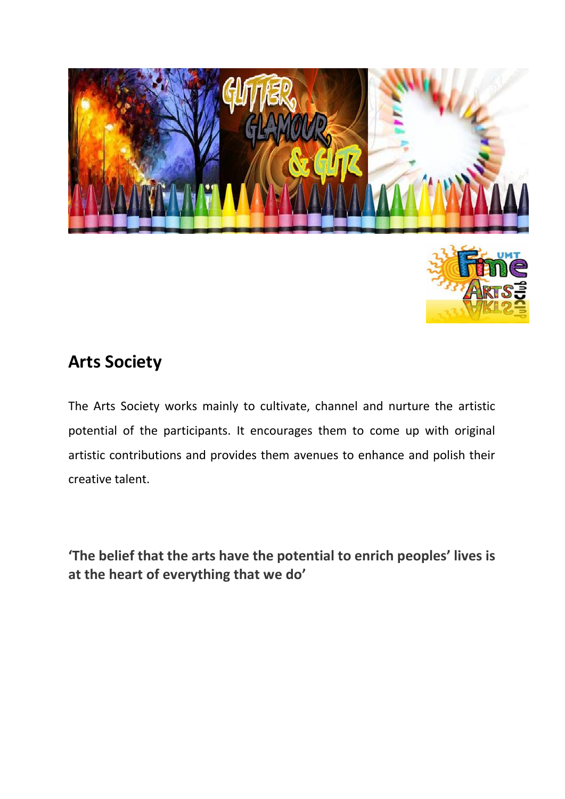

# **Arts Society**

The Arts Society works mainly to cultivate, channel and nurture the artistic potential of the participants. It encourages them to come up with original artistic contributions and provides them avenues to enhance and polish their creative talent.

**'The belief that the arts have the potential to enrich peoples' lives is at the heart of everything that we do'**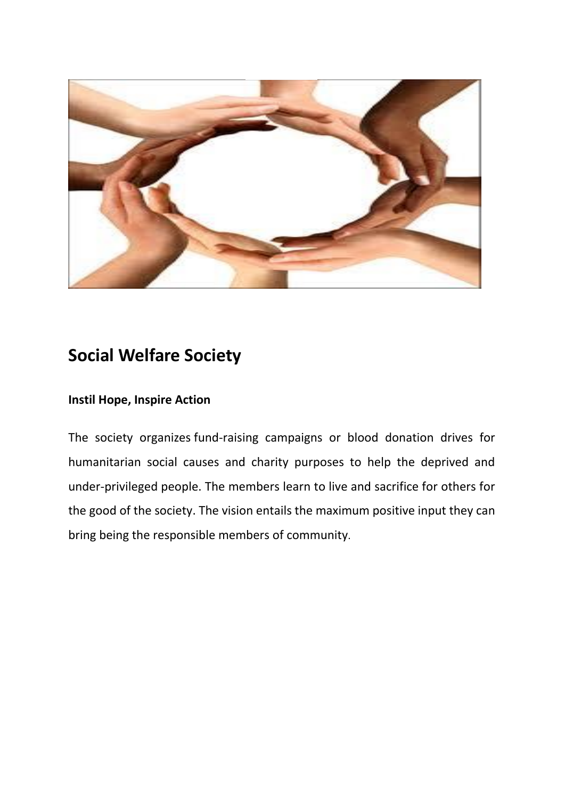

## **Social Welfare Society**

### **Instil Hope, Inspire Action**

The society organizes fund-raising campaigns or blood donation drives for humanitarian social causes and charity purposes to help the deprived and under-privileged people. The members learn to live and sacrifice for others for the good of the society. The vision entails the maximum positive input they can bring being the responsible members of community.